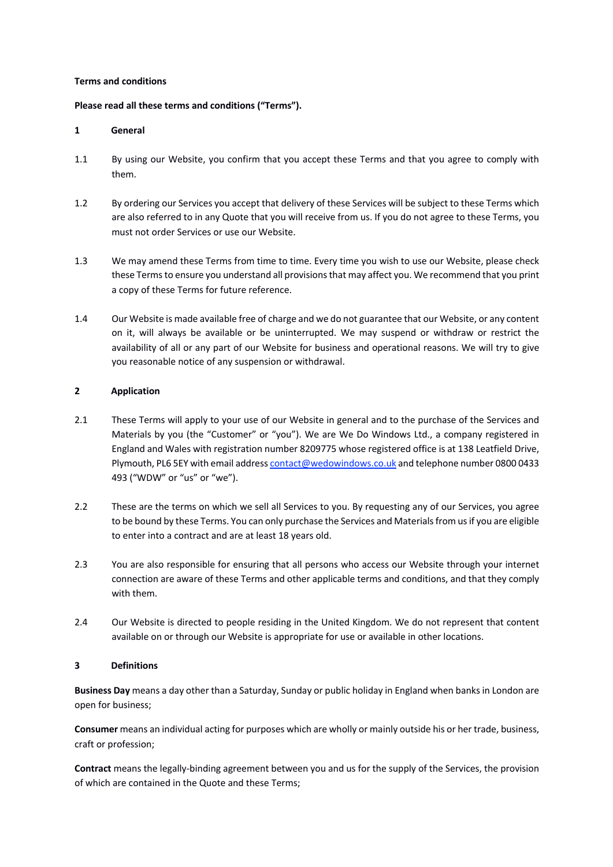## **Terms and conditions**

## **Please read all these terms and conditions ("Terms").**

#### **1 General**

- 1.1 By using our Website, you confirm that you accept these Terms and that you agree to comply with them.
- 1.2 By ordering our Services you accept that delivery of these Services will be subject to these Terms which are also referred to in any Quote that you will receive from us. If you do not agree to these Terms, you must not order Services or use our Website.
- 1.3 We may amend these Terms from time to time. Every time you wish to use our Website, please check these Terms to ensure you understand all provisions that may affect you. We recommend that you print a copy of these Terms for future reference.
- 1.4 Our Website is made available free of charge and we do not guarantee that our Website, or any content on it, will always be available or be uninterrupted. We may suspend or withdraw or restrict the availability of all or any part of our Website for business and operational reasons. We will try to give you reasonable notice of any suspension or withdrawal.

## **2 Application**

- 2.1 These Terms will apply to your use of our Website in general and to the purchase of the Services and Materials by you (the "Customer" or "you"). We are We Do Windows Ltd., a company registered in England and Wales with registration number 8209775 whose registered office is at 138 Leatfield Drive, Plymouth, PL6 5EY with email address contact@wedowindows.co.uk and telephone number 0800 0433 493 ("WDW" or "us" or "we").
- 2.2 These are the terms on which we sell all Services to you. By requesting any of our Services, you agree to be bound by these Terms. You can only purchase the Services and Materials from us if you are eligible to enter into a contract and are at least 18 years old.
- 2.3 You are also responsible for ensuring that all persons who access our Website through your internet connection are aware of these Terms and other applicable terms and conditions, and that they comply with them.
- 2.4 Our Website is directed to people residing in the United Kingdom. We do not represent that content available on or through our Website is appropriate for use or available in other locations.

## **3 Definitions**

**Business Day** means a day other than a Saturday, Sunday or public holiday in England when banks in London are open for business;

**Consumer** means an individual acting for purposes which are wholly or mainly outside his or her trade, business, craft or profession;

**Contract** means the legally-binding agreement between you and us for the supply of the Services, the provision of which are contained in the Quote and these Terms;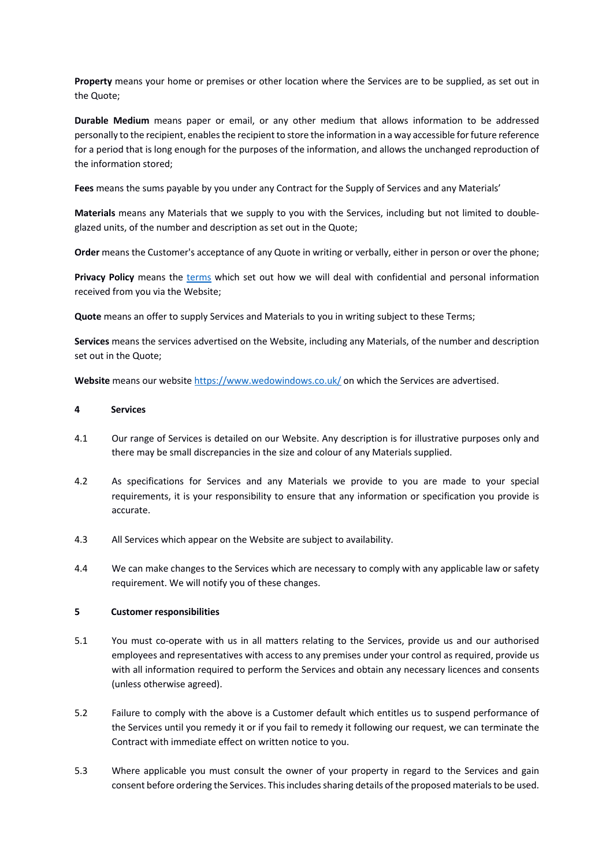**Property** means your home or premises or other location where the Services are to be supplied, as set out in the Quote;

**Durable Medium** means paper or email, or any other medium that allows information to be addressed personally to the recipient, enables the recipient to store the information in a way accessible for future reference for a period that is long enough for the purposes of the information, and allows the unchanged reproduction of the information stored;

**Fees** means the sums payable by you under any Contract for the Supply of Services and any Materials'

**Materials** means any Materials that we supply to you with the Services, including but not limited to doubleglazed units, of the number and description as set out in the Quote;

**Order** means the Customer's acceptance of any Quote in writing or verbally, either in person or over the phone;

**Privacy Policy** means the terms which set out how we will deal with confidential and personal information received from you via the Website;

**Quote** means an offer to supply Services and Materials to you in writing subject to these Terms;

**Services** means the services advertised on the Website, including any Materials, of the number and description set out in the Quote;

**Website** means our website https://www.wedowindows.co.uk/ on which the Services are advertised.

## **4 Services**

- 4.1 Our range of Services is detailed on our Website. Any description is for illustrative purposes only and there may be small discrepancies in the size and colour of any Materials supplied.
- 4.2 As specifications for Services and any Materials we provide to you are made to your special requirements, it is your responsibility to ensure that any information or specification you provide is accurate.
- 4.3 All Services which appear on the Website are subject to availability.
- 4.4 We can make changes to the Services which are necessary to comply with any applicable law or safety requirement. We will notify you of these changes.

## **5 Customer responsibilities**

- 5.1 You must co-operate with us in all matters relating to the Services, provide us and our authorised employees and representatives with access to any premises under your control as required, provide us with all information required to perform the Services and obtain any necessary licences and consents (unless otherwise agreed).
- 5.2 Failure to comply with the above is a Customer default which entitles us to suspend performance of the Services until you remedy it or if you fail to remedy it following our request, we can terminate the Contract with immediate effect on written notice to you.
- 5.3 Where applicable you must consult the owner of your property in regard to the Services and gain consent before ordering the Services. This includes sharing details of the proposed materials to be used.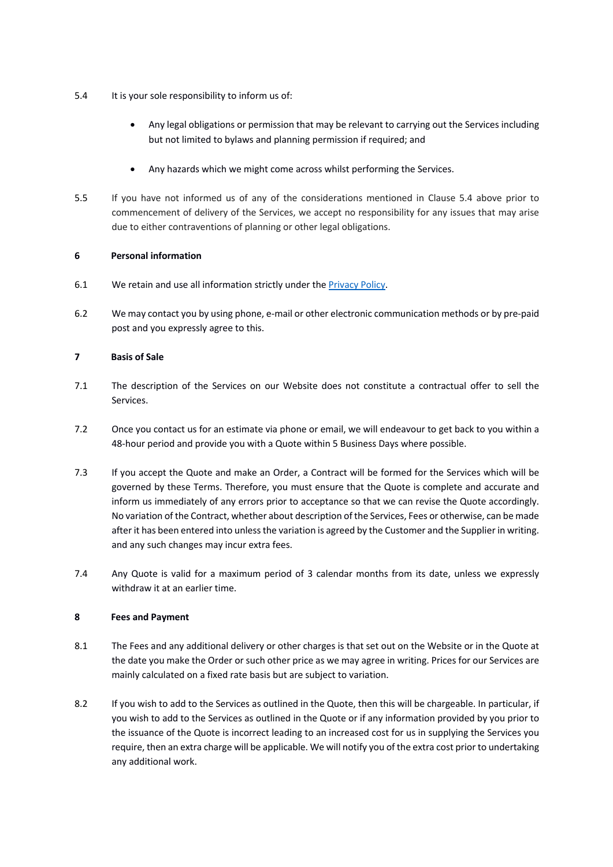- 5.4 It is your sole responsibility to inform us of:
	- Any legal obligations or permission that may be relevant to carrying out the Services including but not limited to bylaws and planning permission if required; and
	- Any hazards which we might come across whilst performing the Services.
- 5.5 If you have not informed us of any of the considerations mentioned in Clause 5.4 above prior to commencement of delivery of the Services, we accept no responsibility for any issues that may arise due to either contraventions of planning or other legal obligations.

## **6 Personal information**

- 6.1 We retain and use all information strictly under the Privacy Policy.
- 6.2 We may contact you by using phone, e-mail or other electronic communication methods or by pre-paid post and you expressly agree to this.

## **7 Basis of Sale**

- 7.1 The description of the Services on our Website does not constitute a contractual offer to sell the Services.
- 7.2 Once you contact us for an estimate via phone or email, we will endeavour to get back to you within a 48-hour period and provide you with a Quote within 5 Business Days where possible.
- 7.3 If you accept the Quote and make an Order, a Contract will be formed for the Services which will be governed by these Terms. Therefore, you must ensure that the Quote is complete and accurate and inform us immediately of any errors prior to acceptance so that we can revise the Quote accordingly. No variation of the Contract, whether about description of the Services, Fees or otherwise, can be made after it has been entered into unless the variation is agreed by the Customer and the Supplier in writing. and any such changes may incur extra fees.
- 7.4 Any Quote is valid for a maximum period of 3 calendar months from its date, unless we expressly withdraw it at an earlier time.

## **8 Fees and Payment**

- 8.1 The Fees and any additional delivery or other charges is that set out on the Website or in the Quote at the date you make the Order or such other price as we may agree in writing. Prices for our Services are mainly calculated on a fixed rate basis but are subject to variation.
- 8.2 If you wish to add to the Services as outlined in the Quote, then this will be chargeable. In particular, if you wish to add to the Services as outlined in the Quote or if any information provided by you prior to the issuance of the Quote is incorrect leading to an increased cost for us in supplying the Services you require, then an extra charge will be applicable. We will notify you of the extra cost prior to undertaking any additional work.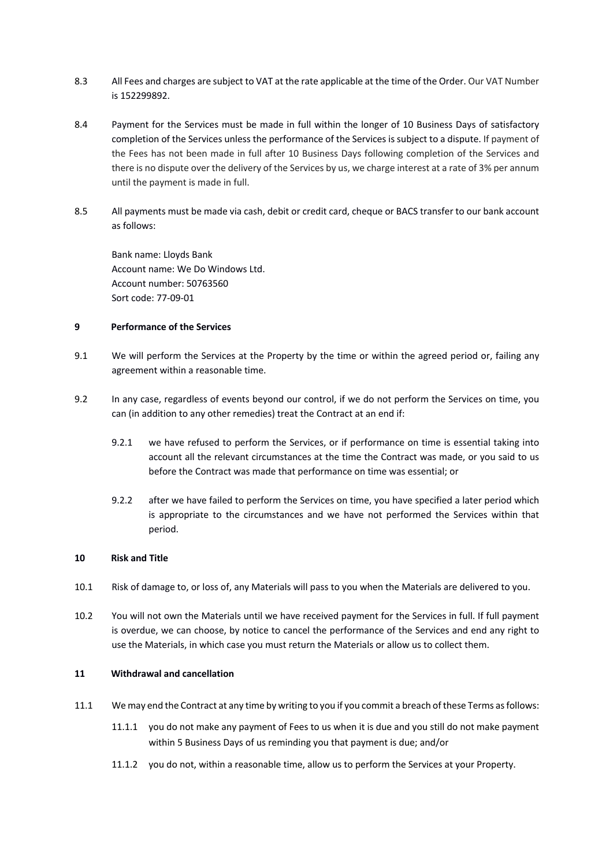- 8.3 All Fees and charges are subject to VAT at the rate applicable at the time of the Order. Our VAT Number is 152299892.
- 8.4 Payment for the Services must be made in full within the longer of 10 Business Days of satisfactory completion of the Services unless the performance of the Services is subject to a dispute. If payment of the Fees has not been made in full after 10 Business Days following completion of the Services and there is no dispute over the delivery of the Services by us, we charge interest at a rate of 3% per annum until the payment is made in full.
- 8.5 All payments must be made via cash, debit or credit card, cheque or BACS transfer to our bank account as follows:

Bank name: Lloyds Bank Account name: We Do Windows Ltd. Account number: 50763560 Sort code: 77-09-01

## **9 Performance of the Services**

- 9.1 We will perform the Services at the Property by the time or within the agreed period or, failing any agreement within a reasonable time.
- 9.2 In any case, regardless of events beyond our control, if we do not perform the Services on time, you can (in addition to any other remedies) treat the Contract at an end if:
	- 9.2.1 we have refused to perform the Services, or if performance on time is essential taking into account all the relevant circumstances at the time the Contract was made, or you said to us before the Contract was made that performance on time was essential; or
	- 9.2.2 after we have failed to perform the Services on time, you have specified a later period which is appropriate to the circumstances and we have not performed the Services within that period.

#### **10 Risk and Title**

- 10.1 Risk of damage to, or loss of, any Materials will pass to you when the Materials are delivered to you.
- 10.2 You will not own the Materials until we have received payment for the Services in full. If full payment is overdue, we can choose, by notice to cancel the performance of the Services and end any right to use the Materials, in which case you must return the Materials or allow us to collect them.

#### **11 Withdrawal and cancellation**

- 11.1 We may end the Contract at any time by writing to you if you commit a breach of these Terms as follows:
	- 11.1.1 you do not make any payment of Fees to us when it is due and you still do not make payment within 5 Business Days of us reminding you that payment is due; and/or
	- 11.1.2 you do not, within a reasonable time, allow us to perform the Services at your Property.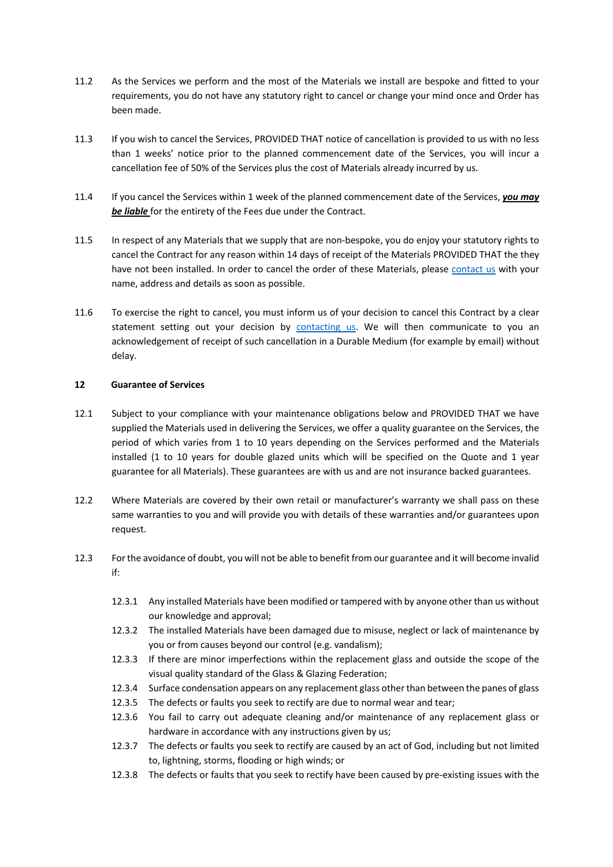- 11.2 As the Services we perform and the most of the Materials we install are bespoke and fitted to your requirements, you do not have any statutory right to cancel or change your mind once and Order has been made.
- 11.3 If you wish to cancel the Services, PROVIDED THAT notice of cancellation is provided to us with no less than 1 weeks' notice prior to the planned commencement date of the Services, you will incur a cancellation fee of 50% of the Services plus the cost of Materials already incurred by us.
- 11.4 If you cancel the Services within 1 week of the planned commencement date of the Services, *you may be liable* for the entirety of the Fees due under the Contract.
- 11.5 In respect of any Materials that we supply that are non-bespoke, you do enjoy your statutory rights to cancel the Contract for any reason within 14 days of receipt of the Materials PROVIDED THAT the they have not been installed. In order to cancel the order of these Materials, please contact us with your name, address and details as soon as possible.
- 11.6 To exercise the right to cancel, you must inform us of your decision to cancel this Contract by a clear statement setting out your decision by contacting us. We will then communicate to you an acknowledgement of receipt of such cancellation in a Durable Medium (for example by email) without delay.

## **12 Guarantee of Services**

- 12.1 Subject to your compliance with your maintenance obligations below and PROVIDED THAT we have supplied the Materials used in delivering the Services, we offer a quality guarantee on the Services, the period of which varies from 1 to 10 years depending on the Services performed and the Materials installed (1 to 10 years for double glazed units which will be specified on the Quote and 1 year guarantee for all Materials). These guarantees are with us and are not insurance backed guarantees.
- 12.2 Where Materials are covered by their own retail or manufacturer's warranty we shall pass on these same warranties to you and will provide you with details of these warranties and/or guarantees upon request.
- 12.3 For the avoidance of doubt, you will not be able to benefit from our guarantee and it will become invalid if:
	- 12.3.1 Any installed Materials have been modified or tampered with by anyone other than us without our knowledge and approval;
	- 12.3.2 The installed Materials have been damaged due to misuse, neglect or lack of maintenance by you or from causes beyond our control (e.g. vandalism);
	- 12.3.3 If there are minor imperfections within the replacement glass and outside the scope of the visual quality standard of the Glass & Glazing Federation;
	- 12.3.4 Surface condensation appears on any replacement glass other than between the panes of glass
	- 12.3.5 The defects or faults you seek to rectify are due to normal wear and tear;
	- 12.3.6 You fail to carry out adequate cleaning and/or maintenance of any replacement glass or hardware in accordance with any instructions given by us;
	- 12.3.7 The defects or faults you seek to rectify are caused by an act of God, including but not limited to, lightning, storms, flooding or high winds; or
	- 12.3.8 The defects or faults that you seek to rectify have been caused by pre-existing issues with the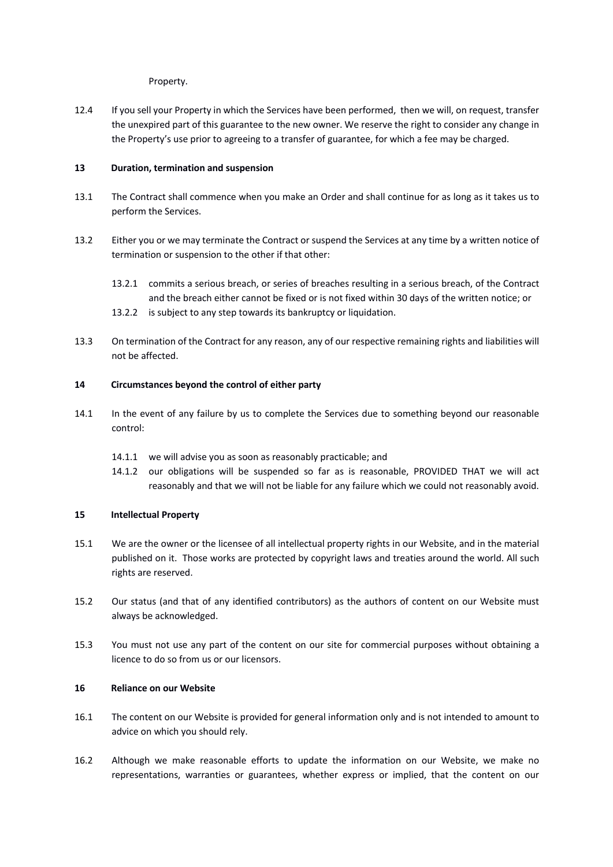Property.

12.4 If you sell your Property in which the Services have been performed, then we will, on request, transfer the unexpired part of this guarantee to the new owner. We reserve the right to consider any change in the Property's use prior to agreeing to a transfer of guarantee, for which a fee may be charged.

# **13 Duration, termination and suspension**

- 13.1 The Contract shall commence when you make an Order and shall continue for as long as it takes us to perform the Services.
- 13.2 Either you or we may terminate the Contract or suspend the Services at any time by a written notice of termination or suspension to the other if that other:
	- 13.2.1 commits a serious breach, or series of breaches resulting in a serious breach, of the Contract and the breach either cannot be fixed or is not fixed within 30 days of the written notice; or
	- 13.2.2 is subject to any step towards its bankruptcy or liquidation.
- 13.3 On termination of the Contract for any reason, any of our respective remaining rights and liabilities will not be affected.

## **14 Circumstances beyond the control of either party**

- 14.1 In the event of any failure by us to complete the Services due to something beyond our reasonable control:
	- 14.1.1 we will advise you as soon as reasonably practicable; and
	- 14.1.2 our obligations will be suspended so far as is reasonable, PROVIDED THAT we will act reasonably and that we will not be liable for any failure which we could not reasonably avoid.

## **15 Intellectual Property**

- 15.1 We are the owner or the licensee of all intellectual property rights in our Website, and in the material published on it. Those works are protected by copyright laws and treaties around the world. All such rights are reserved.
- 15.2 Our status (and that of any identified contributors) as the authors of content on our Website must always be acknowledged.
- 15.3 You must not use any part of the content on our site for commercial purposes without obtaining a licence to do so from us or our licensors.

## **16 Reliance on our Website**

- 16.1 The content on our Website is provided for general information only and is not intended to amount to advice on which you should rely.
- 16.2 Although we make reasonable efforts to update the information on our Website, we make no representations, warranties or guarantees, whether express or implied, that the content on our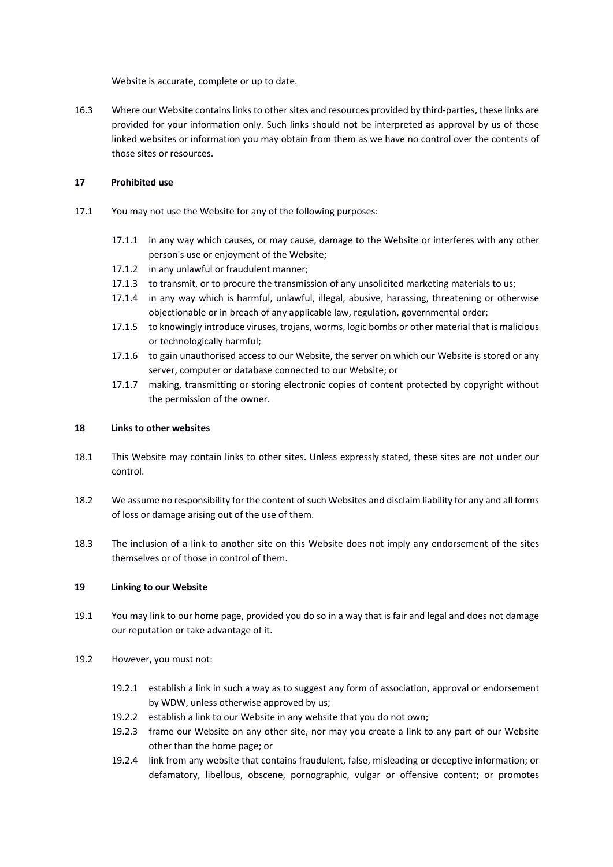Website is accurate, complete or up to date.

16.3 Where our Website contains links to other sites and resources provided by third-parties, these links are provided for your information only. Such links should not be interpreted as approval by us of those linked websites or information you may obtain from them as we have no control over the contents of those sites or resources.

# **17 Prohibited use**

- 17.1 You may not use the Website for any of the following purposes:
	- 17.1.1 in any way which causes, or may cause, damage to the Website or interferes with any other person's use or enjoyment of the Website;
	- 17.1.2 in any unlawful or fraudulent manner;
	- 17.1.3 to transmit, or to procure the transmission of any unsolicited marketing materials to us;
	- 17.1.4 in any way which is harmful, unlawful, illegal, abusive, harassing, threatening or otherwise objectionable or in breach of any applicable law, regulation, governmental order;
	- 17.1.5 to knowingly introduce viruses, trojans, worms, logic bombs or other material that is malicious or technologically harmful;
	- 17.1.6 to gain unauthorised access to our Website, the server on which our Website is stored or any server, computer or database connected to our Website; or
	- 17.1.7 making, transmitting or storing electronic copies of content protected by copyright without the permission of the owner.

## **18 Links to other websites**

- 18.1 This Website may contain links to other sites. Unless expressly stated, these sites are not under our control.
- 18.2 We assume no responsibility for the content of such Websites and disclaim liability for any and all forms of loss or damage arising out of the use of them.
- 18.3 The inclusion of a link to another site on this Website does not imply any endorsement of the sites themselves or of those in control of them.

## **19 Linking to our Website**

- 19.1 You may link to our home page, provided you do so in a way that is fair and legal and does not damage our reputation or take advantage of it.
- 19.2 However, you must not:
	- 19.2.1 establish a link in such a way as to suggest any form of association, approval or endorsement by WDW, unless otherwise approved by us;
	- 19.2.2 establish a link to our Website in any website that you do not own;
	- 19.2.3 frame our Website on any other site, nor may you create a link to any part of our Website other than the home page; or
	- 19.2.4 link from any website that contains fraudulent, false, misleading or deceptive information; or defamatory, libellous, obscene, pornographic, vulgar or offensive content; or promotes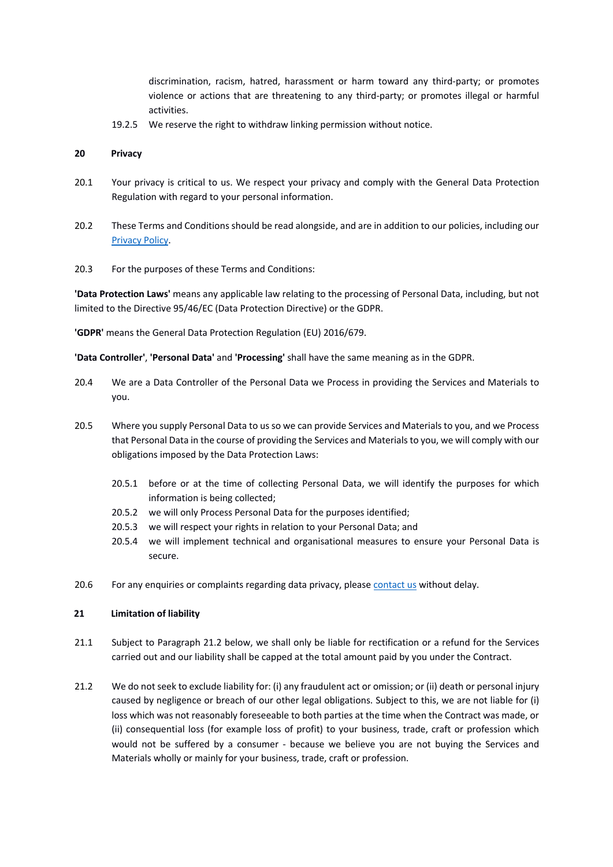discrimination, racism, hatred, harassment or harm toward any third-party; or promotes violence or actions that are threatening to any third-party; or promotes illegal or harmful activities.

19.2.5 We reserve the right to withdraw linking permission without notice.

#### **20 Privacy**

- 20.1 Your privacy is critical to us. We respect your privacy and comply with the General Data Protection Regulation with regard to your personal information.
- 20.2 These Terms and Conditions should be read alongside, and are in addition to our policies, including our Privacy Policy.
- 20.3 For the purposes of these Terms and Conditions:

**'Data Protection Laws'** means any applicable law relating to the processing of Personal Data, including, but not limited to the Directive 95/46/EC (Data Protection Directive) or the GDPR.

**'GDPR'** means the General Data Protection Regulation (EU) 2016/679.

**'Data Controller'**, **'Personal Data'** and **'Processing'** shall have the same meaning as in the GDPR.

- 20.4 We are a Data Controller of the Personal Data we Process in providing the Services and Materials to you.
- 20.5 Where you supply Personal Data to us so we can provide Services and Materials to you, and we Process that Personal Data in the course of providing the Services and Materialsto you, we will comply with our obligations imposed by the Data Protection Laws:
	- 20.5.1 before or at the time of collecting Personal Data, we will identify the purposes for which information is being collected;
	- 20.5.2 we will only Process Personal Data for the purposes identified;
	- 20.5.3 we will respect your rights in relation to your Personal Data; and
	- 20.5.4 we will implement technical and organisational measures to ensure your Personal Data is secure.
- 20.6 For any enquiries or complaints regarding data privacy, please contact us without delay.

#### **21 Limitation of liability**

- 21.1 Subject to Paragraph 21.2 below, we shall only be liable for rectification or a refund for the Services carried out and our liability shall be capped at the total amount paid by you under the Contract.
- 21.2 We do not seek to exclude liability for: (i) any fraudulent act or omission; or (ii) death or personal injury caused by negligence or breach of our other legal obligations. Subject to this, we are not liable for (i) loss which was not reasonably foreseeable to both parties at the time when the Contract was made, or (ii) consequential loss (for example loss of profit) to your business, trade, craft or profession which would not be suffered by a consumer - because we believe you are not buying the Services and Materials wholly or mainly for your business, trade, craft or profession.